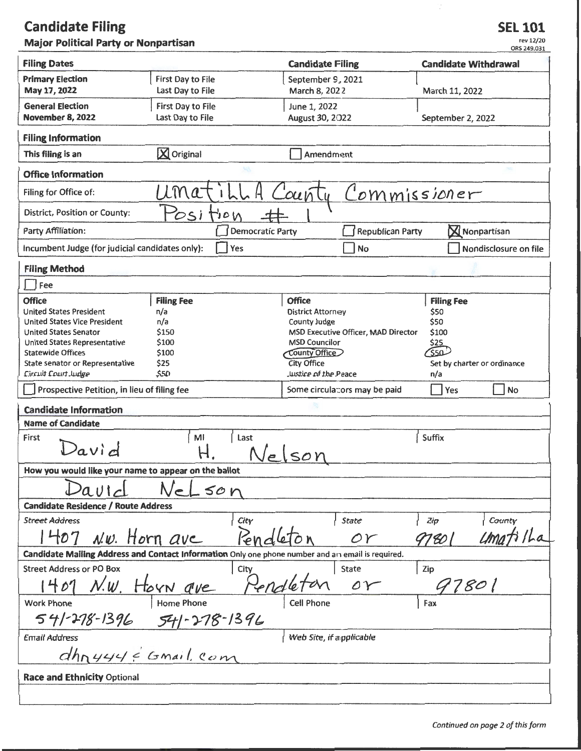## **Candidate Filing Major Political Party or Nonpartisan**

| <b>Filing Dates</b>                                          |                                                                                                | <b>Candidate Filing</b>                                                                           | ORS 249.031<br><b>Candidate Withdrawal</b> |  |  |  |
|--------------------------------------------------------------|------------------------------------------------------------------------------------------------|---------------------------------------------------------------------------------------------------|--------------------------------------------|--|--|--|
| <b>Primary Election</b>                                      | <b>First Day to File</b>                                                                       | September 9, 2021                                                                                 |                                            |  |  |  |
| May 17, 2022                                                 | Last Day to File                                                                               | March 8, 2022                                                                                     | March 11, 2022                             |  |  |  |
| <b>General Election</b>                                      | First Day to File                                                                              | June 1, 2022                                                                                      |                                            |  |  |  |
| <b>November 8, 2022</b>                                      | Last Day to File                                                                               | August 30, 2022                                                                                   | September 2, 2022                          |  |  |  |
| <b>Filing Information</b>                                    |                                                                                                |                                                                                                   |                                            |  |  |  |
| This filing is an                                            | X Original                                                                                     | Amendment                                                                                         |                                            |  |  |  |
| <b>Office Information</b>                                    |                                                                                                |                                                                                                   |                                            |  |  |  |
| Filing for Office of:                                        | Ma                                                                                             | cunty                                                                                             | Commissioner                               |  |  |  |
| District, Position or County:                                | OSI<br>$\mathcal{O}$                                                                           |                                                                                                   |                                            |  |  |  |
| Party Affiliation:                                           | <b>Democratic Party</b>                                                                        | <b>Republican Party</b>                                                                           | <b>X</b> Nonpartisan                       |  |  |  |
| Incumbent Judge (for judicial candidates only):              | Yes                                                                                            | No                                                                                                | Nondisclosure on file                      |  |  |  |
| <b>Filing Method</b>                                         |                                                                                                |                                                                                                   |                                            |  |  |  |
| Fee                                                          |                                                                                                |                                                                                                   |                                            |  |  |  |
| <b>Office</b>                                                | <b>Filing Fee</b>                                                                              | <b>Office</b>                                                                                     | <b>Filing Fee</b>                          |  |  |  |
| <b>United States President</b>                               | n/a                                                                                            | <b>District Attorney</b><br>County Judge                                                          | \$50                                       |  |  |  |
| <b>United States Vice President</b>                          | n/a                                                                                            | \$50                                                                                              |                                            |  |  |  |
| <b>United States Senator</b><br>United States Representative | \$100<br>\$150<br>MSD Executive Officer, MAD Director<br><b>MSD Councilor</b><br>\$25<br>\$100 |                                                                                                   |                                            |  |  |  |
| <b>Statewide Offices</b>                                     | \$100                                                                                          | <b>County Office</b>                                                                              |                                            |  |  |  |
| State senator or Representative                              | \$25                                                                                           | <b>City Office</b>                                                                                | Set by charter or ordinance                |  |  |  |
| Circuit Court Judge                                          | \$50                                                                                           | Justice of the Peace                                                                              | n/a                                        |  |  |  |
| Prospective Petition, in lieu of filing fee                  |                                                                                                | Yes<br><b>No</b><br>Some circulators may be paid                                                  |                                            |  |  |  |
| Candidate Information                                        |                                                                                                |                                                                                                   |                                            |  |  |  |
| <b>Name of Candidate</b>                                     |                                                                                                |                                                                                                   |                                            |  |  |  |
| M <sub>l</sub><br>Suffix<br>Last<br>First<br>$2$ avid<br>SOY |                                                                                                |                                                                                                   |                                            |  |  |  |
| How you would like your name to appear on the ballot         |                                                                                                |                                                                                                   |                                            |  |  |  |
| autz                                                         | eLson                                                                                          |                                                                                                   |                                            |  |  |  |
| <b>Candidate Residence / Route Address</b>                   |                                                                                                |                                                                                                   |                                            |  |  |  |
| <b>Street Address</b>                                        | City                                                                                           | State                                                                                             | Zip<br>County                              |  |  |  |
| $1407$ N.w. Horn ave                                         | Rend                                                                                           | $\alpha r$                                                                                        | 97801                                      |  |  |  |
|                                                              |                                                                                                | Candidate Mailing Address and Contact Information Only one phone number and an email is required. |                                            |  |  |  |
| <b>Street Address or PO Box</b>                              | City                                                                                           | <b>State</b>                                                                                      | Zip                                        |  |  |  |
|                                                              | 1407 N.W. Horn que Pendleton                                                                   | or                                                                                                | 97801                                      |  |  |  |
| <b>Work Phone</b>                                            |                                                                                                |                                                                                                   | Fax                                        |  |  |  |
|                                                              | $541 - 278 - 1396$ $541 - 278 - 1396$                                                          |                                                                                                   |                                            |  |  |  |
| <b>Email Address</b>                                         |                                                                                                | Web Site, if a pplicable                                                                          |                                            |  |  |  |
| $dhnyyy\in G$ mail com                                       |                                                                                                |                                                                                                   |                                            |  |  |  |
| <b>Race and Ethnicity Optional</b>                           |                                                                                                |                                                                                                   |                                            |  |  |  |
|                                                              |                                                                                                |                                                                                                   |                                            |  |  |  |